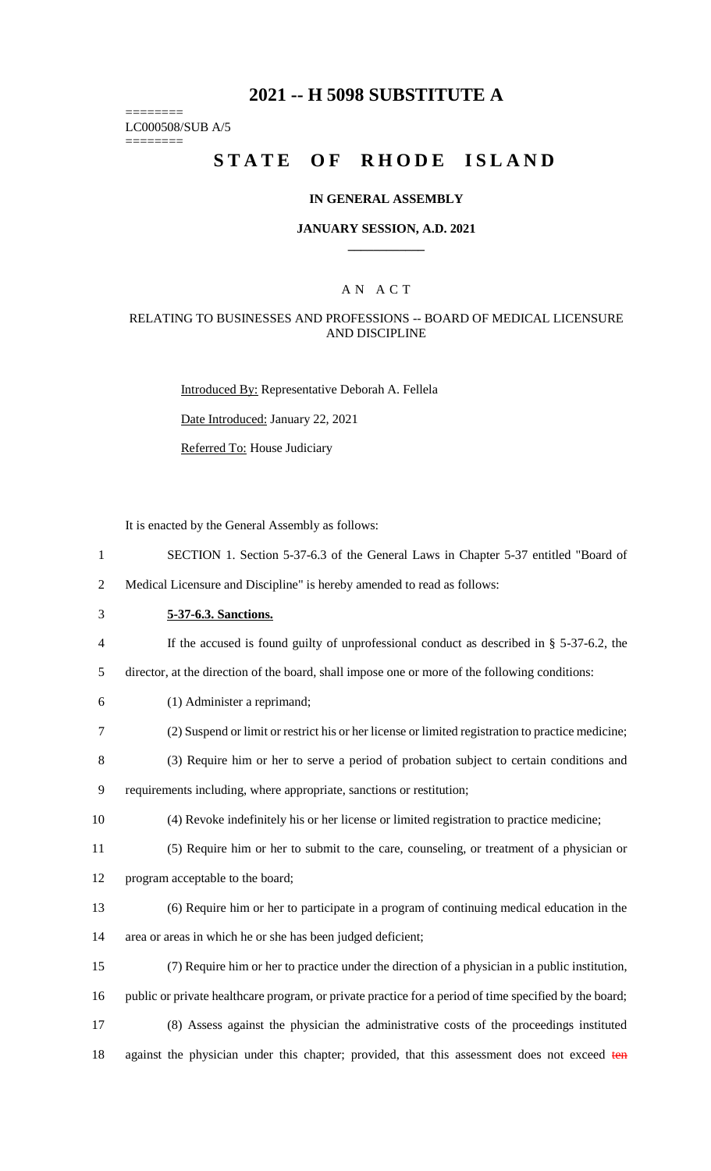# **2021 -- H 5098 SUBSTITUTE A**

======== LC000508/SUB A/5

========

# **STATE OF RHODE ISLAND**

#### **IN GENERAL ASSEMBLY**

#### **JANUARY SESSION, A.D. 2021 \_\_\_\_\_\_\_\_\_\_\_\_**

### A N A C T

### RELATING TO BUSINESSES AND PROFESSIONS -- BOARD OF MEDICAL LICENSURE AND DISCIPLINE

Introduced By: Representative Deborah A. Fellela

Date Introduced: January 22, 2021

Referred To: House Judiciary

It is enacted by the General Assembly as follows:

1 SECTION 1. Section 5-37-6.3 of the General Laws in Chapter 5-37 entitled "Board of

2 Medical Licensure and Discipline" is hereby amended to read as follows:

3 **5-37-6.3. Sanctions.**

4 If the accused is found guilty of unprofessional conduct as described in § 5-37-6.2, the

5 director, at the direction of the board, shall impose one or more of the following conditions:

- 6 (1) Administer a reprimand;
- 7 (2) Suspend or limit or restrict his or her license or limited registration to practice medicine;

8 (3) Require him or her to serve a period of probation subject to certain conditions and 9 requirements including, where appropriate, sanctions or restitution;

- 10 (4) Revoke indefinitely his or her license or limited registration to practice medicine;
- 11 (5) Require him or her to submit to the care, counseling, or treatment of a physician or
- 12 program acceptable to the board;
- 13 (6) Require him or her to participate in a program of continuing medical education in the 14 area or areas in which he or she has been judged deficient;
- 15 (7) Require him or her to practice under the direction of a physician in a public institution, 16 public or private healthcare program, or private practice for a period of time specified by the board; 17 (8) Assess against the physician the administrative costs of the proceedings instituted
- 18 against the physician under this chapter; provided, that this assessment does not exceed ten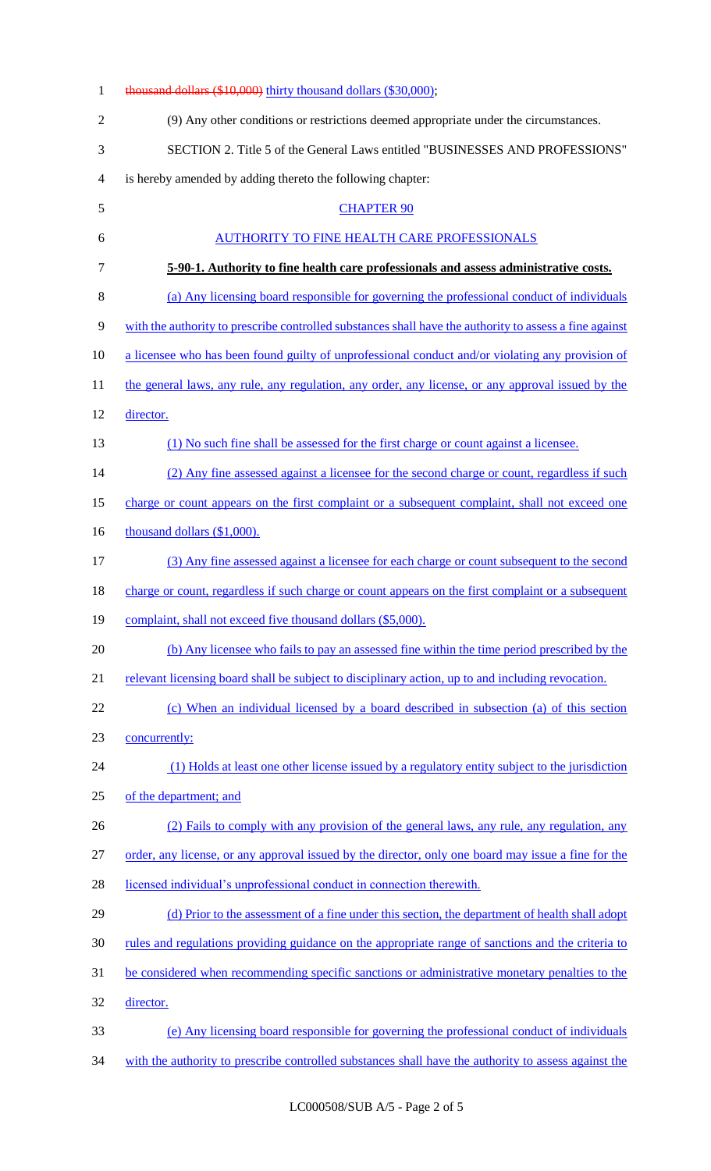| $\mathbf{1}$   | thousand dollars (\$10,000) thirty thousand dollars (\$30,000);                                         |
|----------------|---------------------------------------------------------------------------------------------------------|
| $\overline{2}$ | (9) Any other conditions or restrictions deemed appropriate under the circumstances.                    |
| 3              | SECTION 2. Title 5 of the General Laws entitled "BUSINESSES AND PROFESSIONS"                            |
| 4              | is hereby amended by adding thereto the following chapter:                                              |
| 5              | <b>CHAPTER 90</b>                                                                                       |
| 6              | AUTHORITY TO FINE HEALTH CARE PROFESSIONALS                                                             |
| 7              | 5-90-1. Authority to fine health care professionals and assess administrative costs.                    |
| $8\,$          | (a) Any licensing board responsible for governing the professional conduct of individuals               |
| 9              | with the authority to prescribe controlled substances shall have the authority to assess a fine against |
| 10             | a licensee who has been found guilty of unprofessional conduct and/or violating any provision of        |
| 11             | the general laws, any rule, any regulation, any order, any license, or any approval issued by the       |
| 12             | director.                                                                                               |
| 13             | (1) No such fine shall be assessed for the first charge or count against a licensee.                    |
| 14             | (2) Any fine assessed against a licensee for the second charge or count, regardless if such             |
| 15             | charge or count appears on the first complaint or a subsequent complaint, shall not exceed one          |
| 16             | thousand dollars (\$1,000).                                                                             |
| 17             | (3) Any fine assessed against a licensee for each charge or count subsequent to the second              |
| 18             | charge or count, regardless if such charge or count appears on the first complaint or a subsequent      |
| 19             | complaint, shall not exceed five thousand dollars (\$5,000).                                            |
| 20             | (b) Any licensee who fails to pay an assessed fine within the time period prescribed by the             |
| 21             | relevant licensing board shall be subject to disciplinary action, up to and including revocation.       |
| 22             | (c) When an individual licensed by a board described in subsection (a) of this section                  |
| 23             | concurrently:                                                                                           |
| 24             | (1) Holds at least one other license issued by a regulatory entity subject to the jurisdiction          |
| 25             | of the department; and                                                                                  |
| 26             | (2) Fails to comply with any provision of the general laws, any rule, any regulation, any               |
| 27             | order, any license, or any approval issued by the director, only one board may issue a fine for the     |
| 28             | licensed individual's unprofessional conduct in connection therewith.                                   |
| 29             | (d) Prior to the assessment of a fine under this section, the department of health shall adopt          |
| 30             | rules and regulations providing guidance on the appropriate range of sanctions and the criteria to      |
| 31             | be considered when recommending specific sanctions or administrative monetary penalties to the          |
| 32             | director.                                                                                               |
| 33             | (e) Any licensing board responsible for governing the professional conduct of individuals               |
| 34             | with the authority to prescribe controlled substances shall have the authority to assess against the    |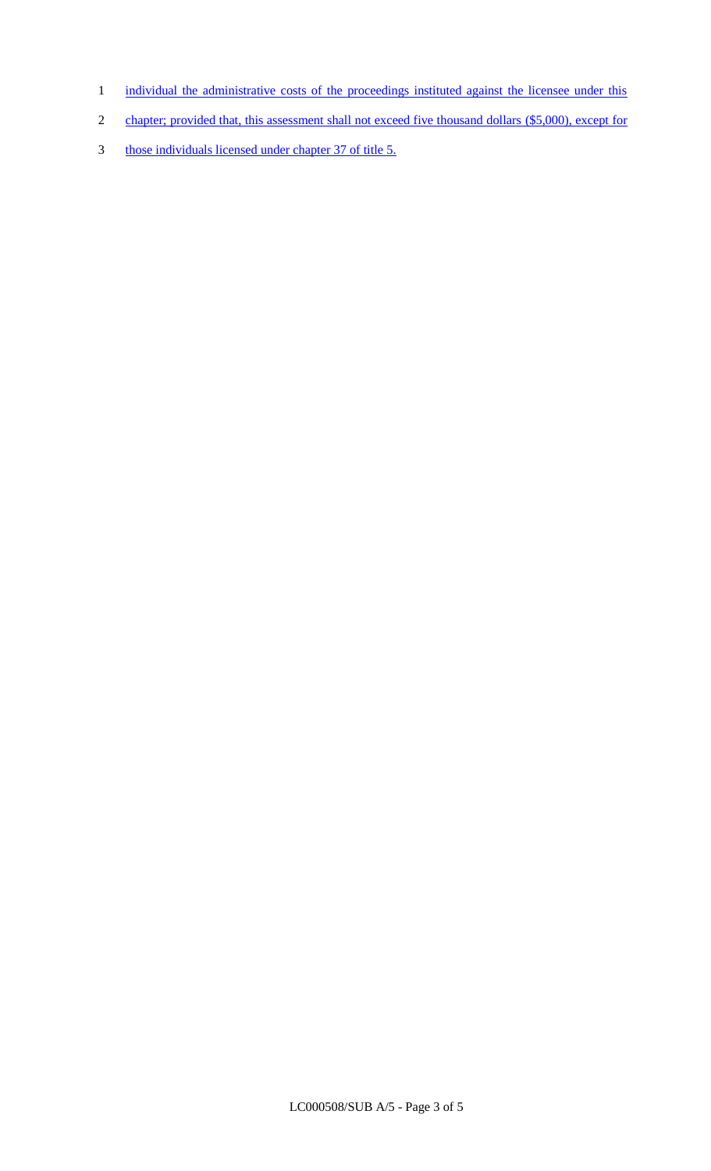- 1 individual the administrative costs of the proceedings instituted against the licensee under this
- 2 chapter; provided that, this assessment shall not exceed five thousand dollars (\$5,000), except for
- 3 those individuals licensed under chapter 37 of title 5.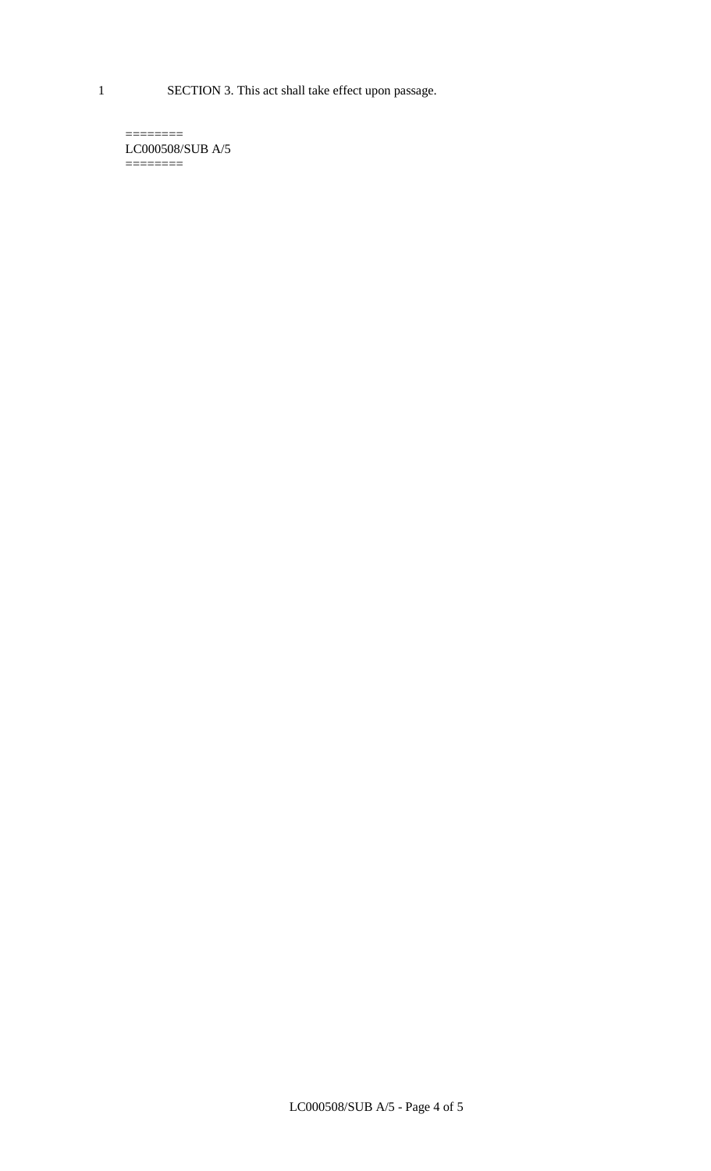1 SECTION 3. This act shall take effect upon passage.

 $=$ LC000508/SUB A/5  $=$